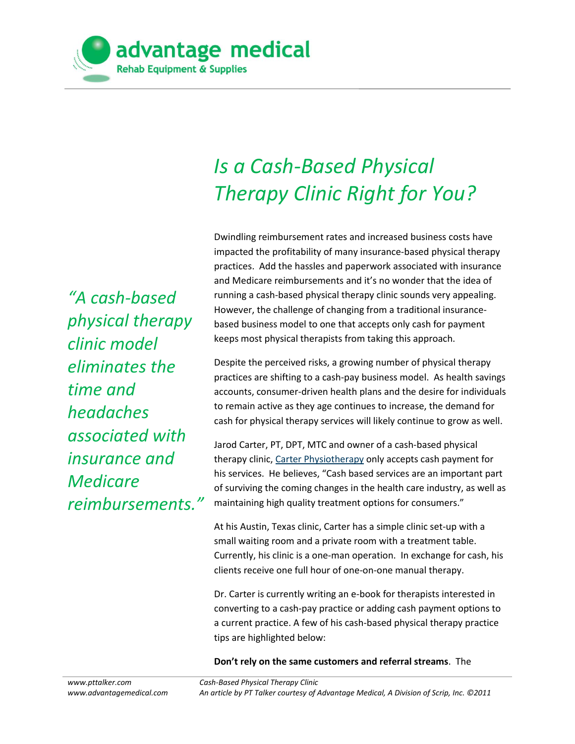

## *Is a Cash-Based Physical Therapy Clinic Right for You?*

Dwindling reimbursement rates and increased business costs have impacted the profitability of many insurance-based physical therapy practices. Add the hassles and paperwork associated with insurance and Medicare reimbursements and it's no wonder that the idea of running a cash-based physical therapy clinic sounds very appealing. However, the challenge of changing from a traditional insurancebased business model to one that accepts only cash for payment keeps most physical therapists from taking this approach.

Despite the perceived risks, a growing number of physical therapy practices are shifting to a cash-pay business model. As health savings accounts, consumer-driven health plans and the desire for individuals to remain active as they age continues to increase, the demand for cash for physical therapy services will likely continue to grow as well.

Jarod Carter, PT, DPT, MTC and owner of a cash-based physical therapy clinic, [Carter Physiotherapy](http://www.carterpt.com/) only accepts cash payment for his services. He believes, "Cash based services are an important part of surviving the coming changes in the health care industry, as well as maintaining high quality treatment options for consumers."

At his Austin, Texas clinic, Carter has a simple clinic set-up with a small waiting room and a private room with a treatment table. Currently, his clinic is a one-man operation. In exchange for cash, his clients receive one full hour of one-on-one manual therapy.

Dr. Carter is currently writing an e-book for therapists interested in converting to a cash-pay practice or adding cash payment options to a current practice. A few of his cash-based physical therapy practice tips are highlighted below:

**Don't rely on the same customers and referral streams**. The

*"A cash-based physical therapy clinic model eliminates the time and headaches associated with insurance and Medicare reimbursements."*

*Cash-Based Physical Therapy Clinic An article by PT Talker courtesy of Advantage Medical, A Division of Scrip, Inc. ©2011*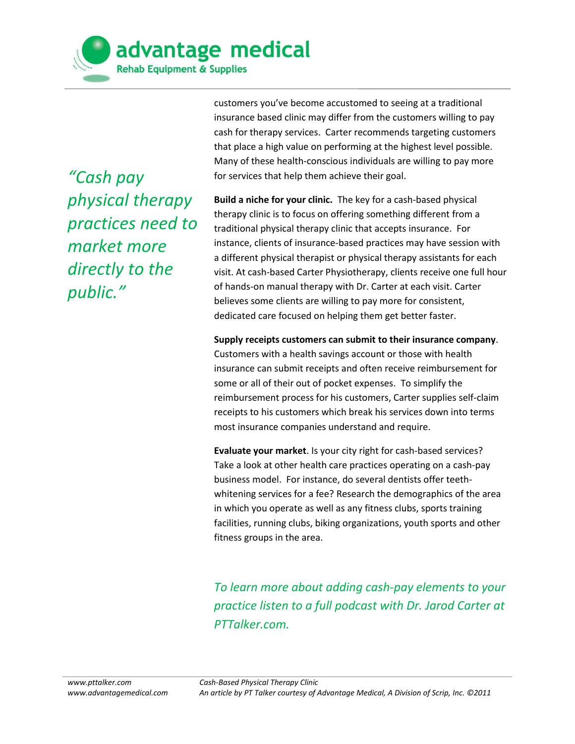

*"Cash pay physical therapy practices need to market more directly to the public."*

customers you've become accustomed to seeing at a traditional insurance based clinic may differ from the customers willing to pay cash for therapy services. Carter recommends targeting customers that place a high value on performing at the highest level possible. Many of these health-conscious individuals are willing to pay more for services that help them achieve their goal.

**Build a niche for your clinic.** The key for a cash-based physical therapy clinic is to focus on offering something different from a traditional physical therapy clinic that accepts insurance. For instance, clients of insurance-based practices may have session with a different physical therapist or physical therapy assistants for each visit. At cash-based Carter Physiotherapy, clients receive one full hour of hands-on manual therapy with Dr. Carter at each visit. Carter believes some clients are willing to pay more for consistent, dedicated care focused on helping them get better faster.

**Supply receipts customers can submit to their insurance company**. Customers with a health savings account or those with health insurance can submit receipts and often receive reimbursement for some or all of their out of pocket expenses. To simplify the reimbursement process for his customers, Carter supplies self-claim receipts to his customers which break his services down into terms most insurance companies understand and require.

**Evaluate your market**. Is your city right for cash-based services? Take a look at other health care practices operating on a cash-pay business model. For instance, do several dentists offer teethwhitening services for a fee? Research the demographics of the area in which you operate as well as any fitness clubs, sports training facilities, running clubs, biking organizations, youth sports and other fitness groups in the area.

*To learn more about adding cash-pay elements to your practice listen to a full podcast with Dr. Jarod Carter at PTTalker.com.*